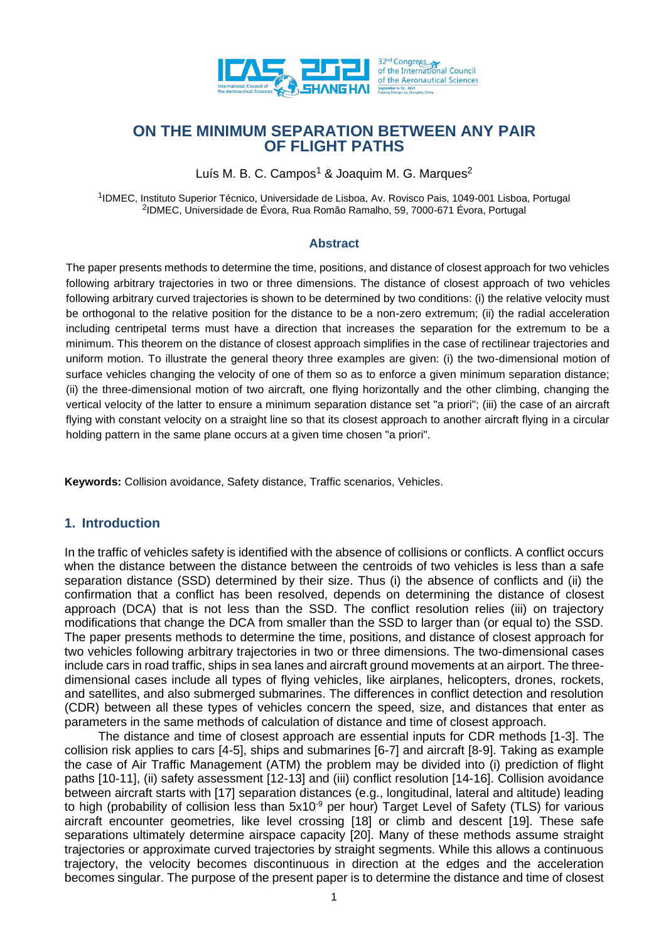

# **ON THE MINIMUM SEPARATION BETWEEN ANY PAIR OF FLIGHT PATHS**

Luís M. B. C. Campos<sup>1</sup> & Joaquim M. G. Marques<sup>2</sup>

<sup>1</sup>IDMEC, Instituto Superior Técnico, Universidade de Lisboa, Av. Rovisco Pais, 1049-001 Lisboa, Portugal 2 IDMEC, Universidade de Évora, Rua Romão Ramalho, 59, 7000-671 Évora, Portugal

#### **Abstract**

The paper presents methods to determine the time, positions, and distance of closest approach for two vehicles following arbitrary trajectories in two or three dimensions. The distance of closest approach of two vehicles following arbitrary curved trajectories is shown to be determined by two conditions: (i) the relative velocity must be orthogonal to the relative position for the distance to be a non-zero extremum; (ii) the radial acceleration including centripetal terms must have a direction that increases the separation for the extremum to be a minimum. This theorem on the distance of closest approach simplifies in the case of rectilinear trajectories and uniform motion. To illustrate the general theory three examples are given: (i) the two-dimensional motion of surface vehicles changing the velocity of one of them so as to enforce a given minimum separation distance; (ii) the three-dimensional motion of two aircraft, one flying horizontally and the other climbing, changing the vertical velocity of the latter to ensure a minimum separation distance set "a priori"; (iii) the case of an aircraft flying with constant velocity on a straight line so that its closest approach to another aircraft flying in a circular holding pattern in the same plane occurs at a given time chosen "a priori".

**Keywords:** Collision avoidance, Safety distance, Traffic scenarios, Vehicles.

### **1. Introduction**

In the traffic of vehicles safety is identified with the absence of collisions or conflicts. A conflict occurs when the distance between the distance between the centroids of two vehicles is less than a safe separation distance (SSD) determined by their size. Thus (i) the absence of conflicts and (ii) the confirmation that a conflict has been resolved, depends on determining the distance of closest approach (DCA) that is not less than the SSD. The conflict resolution relies (iii) on trajectory modifications that change the DCA from smaller than the SSD to larger than (or equal to) the SSD. The paper presents methods to determine the time, positions, and distance of closest approach for two vehicles following arbitrary trajectories in two or three dimensions. The two-dimensional cases include cars in road traffic, ships in sea lanes and aircraft ground movements at an airport. The threedimensional cases include all types of flying vehicles, like airplanes, helicopters, drones, rockets, and satellites, and also submerged submarines. The differences in conflict detection and resolution (CDR) between all these types of vehicles concern the speed, size, and distances that enter as parameters in the same methods of calculation of distance and time of closest approach.

The distance and time of closest approach are essential inputs for CDR methods [1-3]. The collision risk applies to cars [4-5], ships and submarines [6-7] and aircraft [8-9]. Taking as example the case of Air Traffic Management (ATM) the problem may be divided into (i) prediction of flight paths [10-11], (ii) safety assessment [12-13] and (iii) conflict resolution [14-16]. Collision avoidance between aircraft starts with [17] separation distances (e.g., longitudinal, lateral and altitude) leading to high (probability of collision less than  $5x10^{-9}$  per hour) Target Level of Safety (TLS) for various aircraft encounter geometries, like level crossing [18] or climb and descent [19]. These safe separations ultimately determine airspace capacity [20]. Many of these methods assume straight trajectories or approximate curved trajectories by straight segments. While this allows a continuous trajectory, the velocity becomes discontinuous in direction at the edges and the acceleration becomes singular. The purpose of the present paper is to determine the distance and time of closest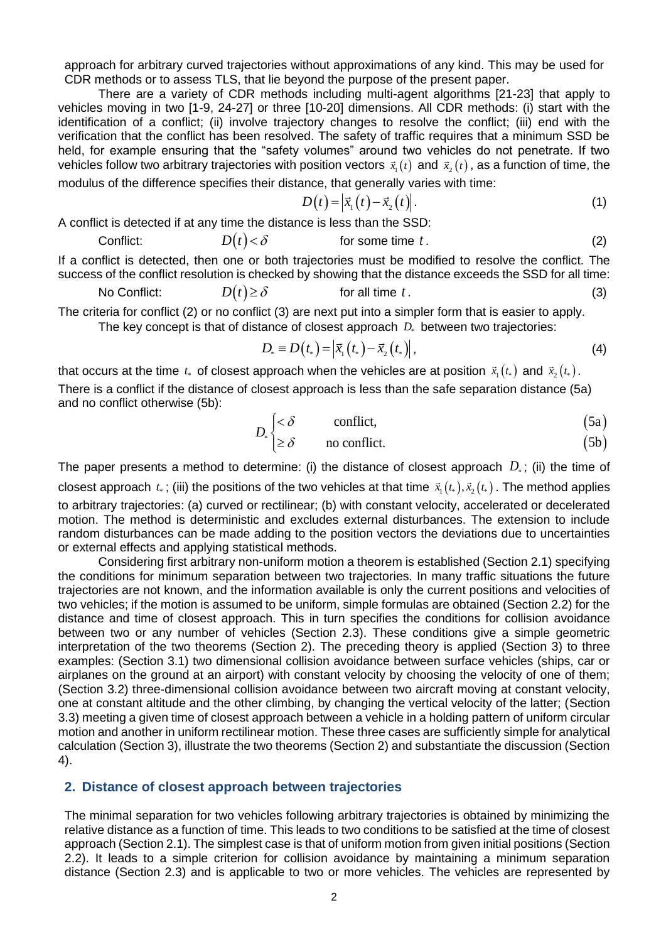approach for arbitrary curved trajectories without approximations of any kind. This may be used for CDR methods or to assess TLS, that lie beyond the purpose of the present paper.

There are a variety of CDR methods including multi-agent algorithms [21-23] that apply to vehicles moving in two [1-9, 24-27] or three [10-20] dimensions. All CDR methods: (i) start with the identification of a conflict; (ii) involve trajectory changes to resolve the conflict; (iii) end with the verification that the conflict has been resolved. The safety of traffic requires that a minimum SSD be held, for example ensuring that the "safety volumes" around two vehicles do not penetrate. If two vehicles follow two arbitrary trajectories with position vectors  $\vec{x}_1(t)$  and  $\vec{x}_2(t)$  , as a function of time, the

modulus of the difference specifies their distance, that generally varies with time:

$$
D(t) = \left| \vec{x}_1(t) - \vec{x}_2(t) \right|.
$$
 (1)

A conflict is detected if at any time the distance is less than the SSD:

Conflict: *D t*( ) for some time *t* . (2)

If a conflict is detected, then one or both trajectories must be modified to resolve the conflict. The success of the conflict resolution is checked by showing that the distance exceeds the SSD for all time:

No Conflict: 
$$
D(t) \ge \delta
$$
 for all time t. (3)

The criteria for conflict (2) or no conflict (3) are next put into a simpler form that is easier to apply. The key concept is that of distance of closest approach  $D_*$  between two trajectories:

$$
D_* \equiv D(t_*) = |\vec{x}_1(t_*) - \vec{x}_2(t_*)|,
$$
\n(4)

that occurs at the time  $t_*$  of closest approach when the vehicles are at position  $\vec{x}_{_1}(t_*)$  and  $\vec{x}_{_2}(t_*)$ . There is a conflict if the distance of closest approach is less than the safe separation distance (5a) and no conflict otherwise (5b):

$$
D_{\scriptscriptstyle\ast} \begin{cases} < \delta & \text{conflict}, \\ > \delta & \text{no conflict} \end{cases} \tag{5a}
$$

$$
[ \geq \delta \qquad \text{no conflict.} \tag{5b}
$$

The paper presents a method to determine: (i) the distance of closest approach  $D_*$ ; (ii) the time of closest approach  $t_*$  ; (iii) the positions of the two vehicles at that time  $\vec{x}_1(t_*) , \vec{x}_2(t_*)$  . The method applies to arbitrary trajectories: (a) curved or rectilinear; (b) with constant velocity, accelerated or decelerated motion. The method is deterministic and excludes external disturbances. The extension to include random disturbances can be made adding to the position vectors the deviations due to uncertainties or external effects and applying statistical methods.

Considering first arbitrary non-uniform motion a theorem is established (Section 2.1) specifying the conditions for minimum separation between two trajectories. In many traffic situations the future trajectories are not known, and the information available is only the current positions and velocities of two vehicles; if the motion is assumed to be uniform, simple formulas are obtained (Section 2.2) for the distance and time of closest approach. This in turn specifies the conditions for collision avoidance between two or any number of vehicles (Section 2.3). These conditions give a simple geometric interpretation of the two theorems (Section 2). The preceding theory is applied (Section 3) to three examples: (Section 3.1) two dimensional collision avoidance between surface vehicles (ships, car or airplanes on the ground at an airport) with constant velocity by choosing the velocity of one of them; (Section 3.2) three-dimensional collision avoidance between two aircraft moving at constant velocity, one at constant altitude and the other climbing, by changing the vertical velocity of the latter; (Section 3.3) meeting a given time of closest approach between a vehicle in a holding pattern of uniform circular motion and another in uniform rectilinear motion. These three cases are sufficiently simple for analytical calculation (Section 3), illustrate the two theorems (Section 2) and substantiate the discussion (Section 4).

### **2. Distance of closest approach between trajectories**

The minimal separation for two vehicles following arbitrary trajectories is obtained by minimizing the relative distance as a function of time. This leads to two conditions to be satisfied at the time of closest approach (Section 2.1). The simplest case is that of uniform motion from given initial positions (Section 2.2). It leads to a simple criterion for collision avoidance by maintaining a minimum separation distance (Section 2.3) and is applicable to two or more vehicles. The vehicles are represented by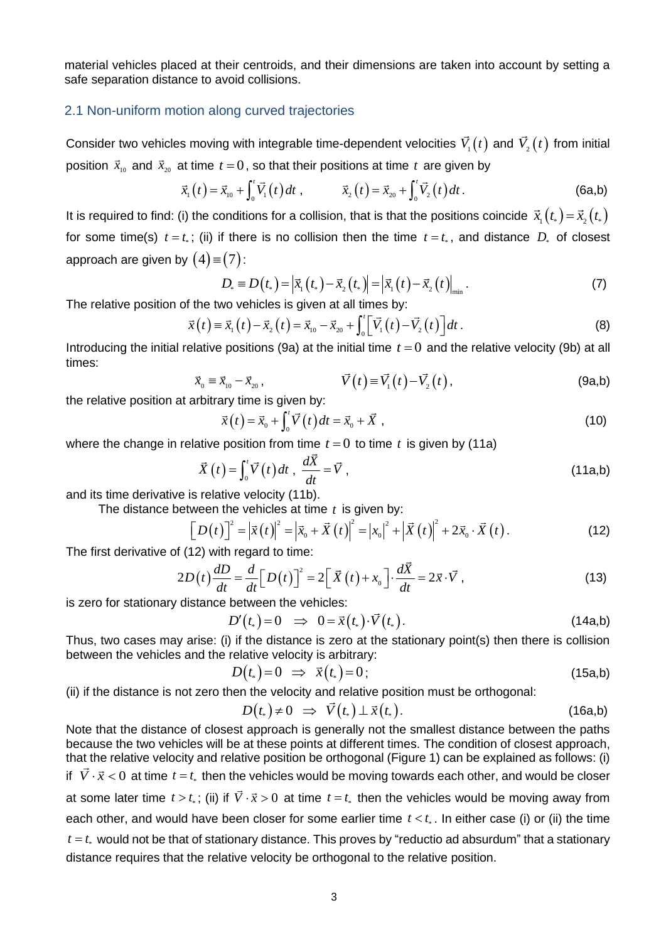material vehicles placed at their centroids, and their dimensions are taken into account by setting a safe separation distance to avoid collisions.

#### 2.1 Non-uniform motion along curved trajectories

Consider two vehicles moving with integrable time-dependent velocities  $V_1(t)$  and  $V_2(t)$  from initial position  $\vec{x}_{10}$  and  $\vec{x}_{20}$  at time  $t = 0$ , so that their positions at time  $t$  are given by

$$
\vec{x}_1(t) = \vec{x}_{10} + \int_0^t \vec{V}_1(t) dt, \qquad \vec{x}_2(t) = \vec{x}_{20} + \int_0^t \vec{V}_2(t) dt.
$$
 (6a,b)

It is required to find: (i) the conditions for a collision, that is that the positions coincide  $\vec x_1(t_*)\!=\!\vec x_2(t_*)$ for some time(s)  $t = t_*$ ; (ii) if there is no collision then the time  $t = t_*$ , and distance  $D_*$  of closest approach are given by  $(4)$   $\equiv$   $(7)$  :

(7):  
\n
$$
D_{*} = D(t_{*}) = |\vec{x}_{1}(t_{*}) - \vec{x}_{2}(t_{*})| = |\vec{x}_{1}(t) - \vec{x}_{2}(t)|_{\text{min}}.
$$
\n(7)

The relative position of the two vehicles is given at all times by:  
\n
$$
\vec{x}(t) = \vec{x}_1(t) - \vec{x}_2(t) = \vec{x}_{10} - \vec{x}_{20} + \int_0^t [\vec{V}_1(t) - \vec{V}_2(t)]dt.
$$
\n(8)

Introducing the initial relative positions (9a) at the initial time  $t = 0$  and the relative velocity (9b) at all times:

$$
\vec{x}_0 \equiv \vec{x}_{10} - \vec{x}_{20}, \qquad \vec{V}(t) \equiv \vec{V}_1(t) - \vec{V}_2(t), \qquad (9a,b)
$$

the relative position at arbitrary time is given by:

$$
\vec{x}(t) = \vec{x}_0 + \int_0^t \vec{V}(t) dt = \vec{x}_0 + \vec{X},
$$
\n(10)

where the change in relative position from time  $t = 0$  to time  $t$  is given by (11a)

$$
\vec{X}(t) = \int_0^t \vec{V}(t) dt, \quad \frac{d\vec{X}}{dt} = \vec{V}, \tag{11a,b}
$$

and its time derivative is relative velocity (11b).

The distance between the vehicles at time t is given by:<br> $\left[\mathbf{D}(t)\right]^2 = |\vec{x}(t)|^2 = |\vec{x} + \vec{V}(t)|^2 = |x|^2 + |\vec{V}(t)|^2$ 

and its time derivative is relative velocity (11b).  
\nThe distance between the vehicles at time *t* is given by:  
\n
$$
\left[D(t)\right]^2 = \left|\vec{x}(t)\right|^2 = \left|\vec{x}_0 + \vec{X}(t)\right|^2 = \left|x_0\right|^2 + \left|\vec{X}(t)\right|^2 + 2\vec{x}_0 \cdot \vec{X}(t).
$$
\n(12)

The first derivative of (12) with regard to time:

The first derivative of (12) with regard to time:  
\n
$$
2D(t)\frac{dD}{dt} = \frac{d}{dt}\Big[D(t)\Big]^2 = 2\Big[\vec{X}(t) + x_0\Big]\cdot\frac{d\vec{X}}{dt} = 2\vec{x}\cdot\vec{V},
$$
\n(13)

is zero for stationary distance between the vehicles:<br> $D'(t_*)\!=\!0\;\;\Rightarrow\;\;0\!=\!\vec{x}\big(t_*)\!\cdot\!\vec{V}\big(t_*\big)$ 

$$
D'(t_*)=0 \quad \Rightarrow \quad 0=\vec{x}(t_*)\cdot \vec{V}(t_*) \,. \tag{14a,b}
$$

Thus, two cases may arise: (i) if the distance is zero at the stationary point(s) then there is collision between the vehicles and the relative velocity is arbitrary:<br> $D\big(t_*)\!=\!0\;\Rightarrow\;\vec{x}\big(t_*)\!=\!0\;;$ 

$$
D(t_*)=0 \Rightarrow \vec{x}(t_*)=0;
$$
 (15a,b)

(ii) if the distance is not zero then the velocity and relative position must be orthogonal: 
$$
D(t_*) \neq 0 \Rightarrow \vec{V}(t_*) \perp \vec{x}(t_*)
$$
 (16a,b)

Note that the distance of closest approach is generally not the smallest distance between the paths because the two vehicles will be at these points at different times. The condition of closest approach, that the relative velocity and relative position be orthogonal (Figure 1) can be explained as follows: (i) if  $\vec{V} \cdot \vec{x} < 0$  at time  $t = t_*$  then the vehicles would be moving towards each other, and would be closer at some later time  $t > t_*$ ; (ii) if  $\vec{V} \cdot \vec{x} > 0$  at time  $t = t_*$  then the vehicles would be moving away from each other, and would have been closer for some earlier time  $t < t_*$ . In either case (i) or (ii) the time  $t = t_*$  would not be that of stationary distance. This proves by "reductio ad absurdum" that a stationary distance requires that the relative velocity be orthogonal to the relative position.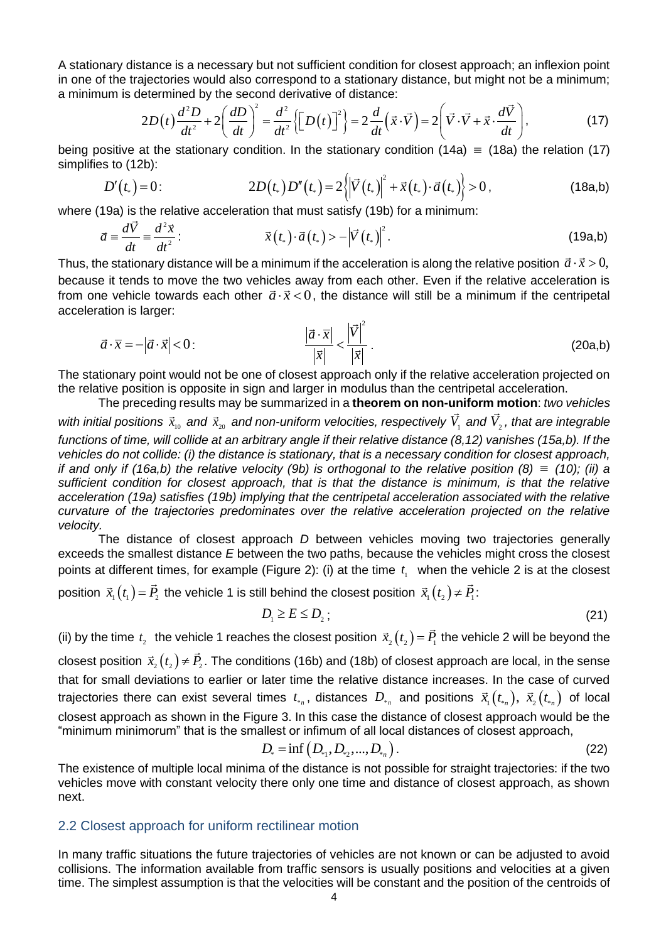A stationary distance is a necessary but not sufficient condition for closest approach; an inflexion point in one of the trajectories would also correspond to a stationary distance, but might not be a minimum; tance is a necessary but not sufficient condition for closest approach; an inflexion<br>ajectories would also correspond to a stationary distance, but might not be a minir<br>etermined by the second derivative of distance:<br> $2D(t$ 

in one of the trajectories would also correspond to a stationary distance, but might not be a minimum;  
a minimum is determined by the second derivative of distance:  

$$
2D(t)\frac{d^2D}{dt^2} + 2\left(\frac{dD}{dt}\right)^2 = \frac{d^2}{dt^2}\left\{\left[D(t)\right]^2\right\} = 2\frac{d}{dt}(\vec{x}\cdot\vec{V}) = 2\left(\vec{V}\cdot\vec{V} + \vec{x}\cdot\frac{d\vec{V}}{dt}\right),\tag{17}
$$

being positive at the stationary condition. In the stationary condition  $(14a) \equiv (18a)$  the relation  $(17)$ simplifies to (12b):

$$
\text{is to (12b):} \\
D'(t_*) = 0: \qquad \qquad 2D(t_*)D''(t_*) = 2\left\{ \left| \vec{V}(t_*) \right|^2 + \vec{x}(t_*) \cdot \vec{a}(t_*) \right\} > 0 \,, \tag{18a,b}
$$

where (19a) is the relative acceleration that must satisfy (19b) for a minimum:

$$
\vec{a} \equiv \frac{d\vec{V}}{dt} \equiv \frac{d^2\vec{x}}{dt^2}:\n\qquad \vec{x}(t_*) \cdot \vec{a}(t_*) > -\left|\vec{V}(t_*)\right|^2.\n\tag{19a,b}
$$

Thus, the stationary distance will be a minimum if the acceleration is along the relative position  $\,\vec{a}\cdot\vec{x}$   $>$   $0,$ because it tends to move the two vehicles away from each other. Even if the relative acceleration is from one vehicle towards each other  $\vec{a}\cdot\vec{x} < 0$ , the distance will still be a minimum if the centripetal acceleration is larger:

$$
\vec{a} \cdot \vec{x} = -|\vec{a} \cdot \vec{x}| < 0: \qquad \frac{|\vec{a} \cdot \vec{x}|}{|\vec{x}|} < \frac{|\vec{V}|^2}{|\vec{x}|}. \tag{20a,b}
$$

The stationary point would not be one of closest approach only if the relative acceleration projected on the relative position is opposite in sign and larger in modulus than the centripetal acceleration.

The preceding results may be summarized in a **theorem on non-uniform motion**: *two vehicles*  with initial positions  $\vec{x}_{10}$  and  $\vec{x}_{20}$  and non-uniform velocities, respectively  $V_1$  and  $V_2$ , that are integrable *functions of time, will collide at an arbitrary angle if their relative distance (8,12) vanishes (15a,b). If the vehicles do not collide: (i) the distance is stationary, that is a necessary condition for closest approach, if and only if (16a,b) the relative velocity (9b) is orthogonal to the relative position (8)*  $\equiv$  (10); (*ii)* a *sufficient condition for closest approach, that is that the distance is minimum, is that the relative acceleration (19a) satisfies (19b) implying that the centripetal acceleration associated with the relative curvature of the trajectories predominates over the relative acceleration projected on the relative velocity.* 

The distance of closest approach *D* between vehicles moving two trajectories generally exceeds the smallest distance *E* between the two paths, because the vehicles might cross the closest points at different times, for example (Figure 2): (i) at the time  $t_1$  when the vehicle 2 is at the closest

position  $\vec{x}_{_1}(t_{_1})$   $=$   $\vec{P}_{_2}$  the vehicle 1 is still behind the closest position  $\vec{x}_{_1}(t_{_2})$   $\neq$   $\vec{P}_{_1}$ :

$$
D_1 \ge E \le D_2 \tag{21}
$$

(ii) by the time  $t_2$  the vehicle 1 reaches the closest position  $\vec{x}_2(t_2) = \vec{P}_1$  the vehicle 2 will be beyond the

closest position  $\vec{x}_{_2}(t_{_2})$   $\neq$   $\vec{P}_{_2}$ . The conditions (16b) and (18b) of closest approach are local, in the sense that for small deviations to earlier or later time the relative distance increases. In the case of curved trajectories there can exist several times  $t_{*_n}$ , distances  $D_{*_n}$  and positions  $\vec{x}_1\big(t_{*_n}\big),\ \vec{x}_2\big(t_{*_n}\big)$  of local closest approach as shown in the Figure 3. In this case the distance of closest approach would be the "minimum minimorum" that is the smallest or infimum of all local distances of closest approach,  $D_* = \inf\left( D_{*_1}, D_{*_2}, ..., D_{*_n} \right).$ 

$$
D_{*} = \inf (D_{*1}, D_{*2}, ..., D_{*n}).
$$
 (22)

The existence of multiple local minima of the distance is not possible for straight trajectories: if the two vehicles move with constant velocity there only one time and distance of closest approach, as shown next.

#### 2.2 Closest approach for uniform rectilinear motion

In many traffic situations the future trajectories of vehicles are not known or can be adjusted to avoid collisions. The information available from traffic sensors is usually positions and velocities at a given time. The simplest assumption is that the velocities will be constant and the position of the centroids of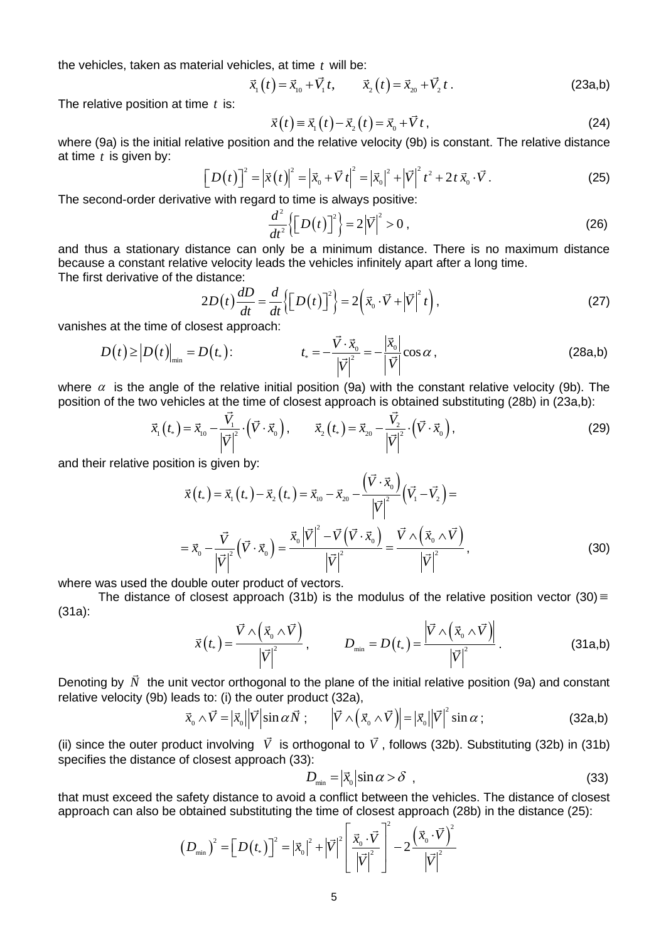the vehicles, taken as material vehicles, at time *t* will be:

$$
\vec{x}_1(t) = \vec{x}_{10} + \vec{V}_1 t, \qquad \vec{x}_2(t) = \vec{x}_{20} + \vec{V}_2 t \,. \tag{23a,b}
$$

The relative position at time *t* is:

The relative position at time t is:  
\n
$$
\vec{x}(t) = \vec{x}_1(t) - \vec{x}_2(t) = \vec{x}_0 + \vec{V}t, \qquad (24)
$$

where (9a) is the initial relative position and the relative velocity (9b) is constant. The relative distance at time *t* is given by:  $\vec{v}^2 = |\vec{x}(t)|^2 - |\vec{x}| |\vec{V}t|^2 - |\vec{x}|^2 + |\vec{V}|^2 t^2$ 

$$
\begin{bmatrix} Du(t) \end{bmatrix}^2 = \left| \vec{x}(t) \right|^2 = \left| \vec{x}_0 + \vec{V}t \right|^2 = \left| \vec{x}_0 \right|^2 + \left| \vec{V} \right|^2 t^2 + 2t \, \vec{x}_0 \cdot \vec{V} \,. \tag{25}
$$

The second-order derivative with regard to time is always positive:

$$
\frac{d^2}{dt^2} \left\{ \left[ D(t) \right]^2 \right\} = 2 \left| \vec{V} \right|^2 > 0 \tag{26}
$$

and thus a stationary distance can only be a minimum distance. There is no maximum distance because a constant relative velocity leads the vehicles infinitely apart after a long time. The first derivative of the distance:

The first derivative of the distance:  
\n
$$
2D(t)\frac{dD}{dt} = \frac{d}{dt}\left\{ \left[D(t)\right]^2 \right\} = 2\left(\vec{x}_0 \cdot \vec{V} + |\vec{V}|^2 t\right),
$$
\n(27)

vanishes at the time of closest approach:

$$
D(t) \ge |D(t)|_{\min} = D(t_*)
$$
 (28a,b)

where  $\alpha$  is the angle of the relative initial position (9a) with the constant relative velocity (9b). The position of the two vehicles at the time of closest approach is obtained substituting (28b) in (23a,b):

$$
\vec{x}_{1}(t_{*}) = \vec{x}_{10} - \frac{\vec{V}_{1}}{|\vec{V}|^{2}} \cdot (\vec{V} \cdot \vec{x}_{0}), \qquad \vec{x}_{2}(t_{*}) = \vec{x}_{20} - \frac{\vec{V}_{2}}{|\vec{V}|^{2}} \cdot (\vec{V} \cdot \vec{x}_{0}), \qquad (29)
$$

and their relative position is given by:

on is given by:  
\n
$$
\vec{x}(t_{*}) = \vec{x}_{1}(t_{*}) - \vec{x}_{2}(t_{*}) = \vec{x}_{10} - \vec{x}_{20} - \frac{(\vec{V} \cdot \vec{x}_{0})}{|\vec{V}|^{2}} (\vec{V}_{1} - \vec{V}_{2}) =
$$
\n
$$
= \vec{x}_{0} - \frac{\vec{V}}{|\vec{V}|^{2}} (\vec{V} \cdot \vec{x}_{0}) = \frac{\vec{x}_{0} |\vec{V}|^{2} - \vec{V} (\vec{V} \cdot \vec{x}_{0})}{|\vec{V}|^{2}} = \frac{\vec{V} \wedge (\vec{x}_{0} \wedge \vec{V})}{|\vec{V}|^{2}},
$$
\n(30)

where was used the double outer product of vectors.

The distance of closest approach (31b) is the modulus of the relative position vector (30)  $\equiv$ (31a):

$$
\vec{x}(t_*) = \frac{\vec{V} \wedge (\vec{x}_0 \wedge \vec{V})}{|\vec{V}|^2}, \qquad D_{\min} = D(t_*) = \frac{|\vec{V} \wedge (\vec{x}_0 \wedge \vec{V})|}{|\vec{V}|^2}.
$$
 (31a,b)

Denoting by  $\dot{N}$  the unit vector orthogonal to the plane of the initial relative position (9a) and constant relative velocity (9b) leads to: (i) the outer product (32a),

$$
\vec{x}_0 \wedge \vec{V} = |\vec{x}_0| |\vec{V}| \sin \alpha \vec{N}; \qquad |\vec{V} \wedge (\vec{x}_0 \wedge \vec{V})| = |\vec{x}_0| |\vec{V}|^2 \sin \alpha ; \qquad (32a,b)
$$

(ii) since the outer product involving V is orthogonal to V, follows (32b). Substituting (32b) in (31b) specifies the distance of closest approach (33):

$$
D_{\min} = |\vec{x}_0| \sin \alpha > \delta \quad , \tag{33}
$$

that must exceed the safety distance to avoid a conflict between the vehicles. The distance of closest approach can also be obtained substituting the time of closest approach (28b) in the distance (25):<br>approach can also be obtained substituting the time of closest approach (28b) in the distance (25):<br> $(D_{\text{min}})^2 = [D(t_*)]^2 = |\vec$ 

 $-2$ 

obtained substituting the time of closest approach (  
\n
$$
(D_{\min})^2 = \left[D(t_*)\right]^2 = \left|\vec{x}_0\right|^2 + \left|\vec{V}\right|^2 \left[\frac{\vec{x}_0 \cdot \vec{V}}{\left|\vec{V}\right|^2}\right]^2 - 2\frac{\left(\vec{x}_0 \cdot \vec{V}\right)^2}{\left|\vec{V}\right|^2}
$$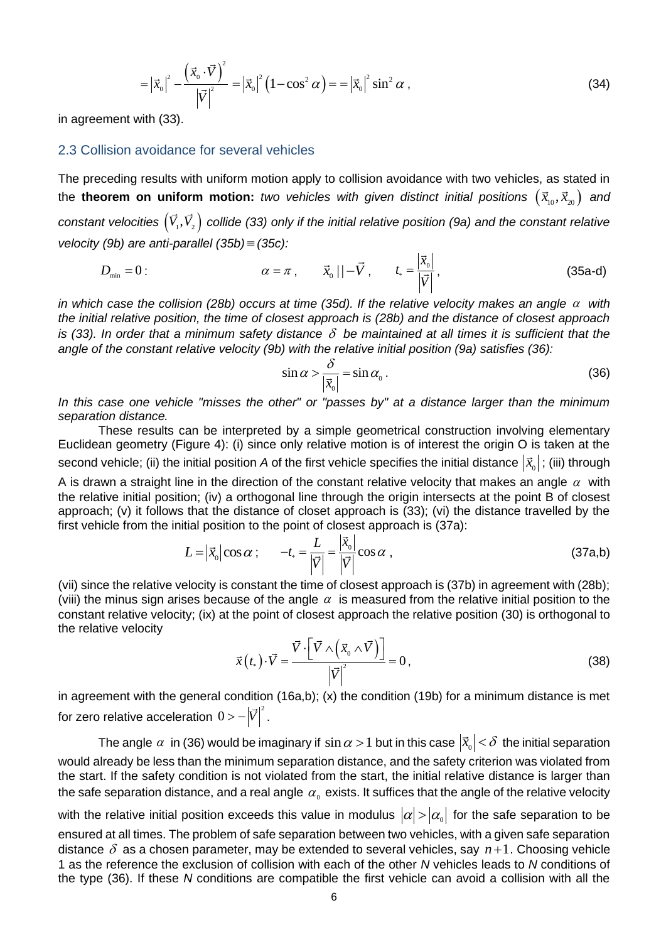$$
= \left|\vec{x}_0\right|^2 - \frac{\left(\vec{x}_0 \cdot \vec{V}\right)^2}{\left|\vec{V}\right|^2} = \left|\vec{x}_0\right|^2 \left(1 - \cos^2 \alpha\right) = \left|\vec{x}_0\right|^2 \sin^2 \alpha \,,\tag{34}
$$

in agreement with (33).

#### 2.3 Collision avoidance for several vehicles

The preceding results with uniform motion apply to collision avoidance with two vehicles, as stated in the **theorem on uniform motion:** two vehicles with given distinct initial positions  $(\vec{x}_{_{10}},\vec{x}_{_{20}})$  and constant velocities  $\left(V_1,V_2\right)$  collide (33) only if the initial relative position (9a) and the constant relative *velocity (9b) are anti-parallel (35b) (35c):*

$$
D_{\min} = 0: \qquad \alpha = \pi, \qquad \vec{x}_0 \mid -\vec{V}, \qquad t_* = \frac{|\vec{x}_0|}{|\vec{V}|}, \qquad (35a-d)
$$

*in which case the collision (28b) occurs at time (35d). If the relative velocity makes an angle*  $\alpha$  *with the initial relative position, the time of closest approach is (28b) and the distance of closest approach is (33). In order that a minimum safety distance be maintained at all times it is sufficient that the angle of the constant relative velocity (9b) with the relative initial position (9a) satisfies (36):*

$$
\sin \alpha > \frac{\delta}{|\vec{x}_0|} = \sin \alpha_0 \,. \tag{36}
$$

*In this case one vehicle "misses the other" or "passes by" at a distance larger than the minimum separation distance.*

These results can be interpreted by a simple geometrical construction involving elementary Euclidean geometry (Figure 4): (i) since only relative motion is of interest the origin O is taken at the second vehicle; (ii) the initial position *A* of the first vehicle specifies the initial distance  $|\vec{x}_o|$  ; (iii) through

A is drawn a straight line in the direction of the constant relative velocity that makes an angle  $\alpha$  with the relative initial position; (iv) a orthogonal line through the origin intersects at the point B of closest approach; (v) it follows that the distance of closet approach is (33); (vi) the distance travelled by the first vehicle from the initial position to the point of closest approach is (37a):

$$
L = |\vec{x}_0| \cos \alpha \; ; \qquad -t_* = \frac{L}{|\vec{V}|} = \frac{|\vec{x}_0|}{|\vec{V}|} \cos \alpha \; , \tag{37a,b}
$$

(vii) since the relative velocity is constant the time of closest approach is (37b) in agreement with (28b); (viii) the minus sign arises because of the angle  $\alpha$  is measured from the relative initial position to the constant relative velocity; (ix) at the point of closest approach the relative position (30) is orthogonal to the relative velocity

the relative velocity  
\n
$$
\vec{x}(t_*) \cdot \vec{V} = \frac{\vec{V} \cdot \left[ \vec{V} \wedge (\vec{x}_0 \wedge \vec{V}) \right]}{\left| \vec{V} \right|^2} = 0,
$$
\n(38)

in agreement with the general condition (16a,b); (x) the condition (19b) for a minimum distance is met for zero relative acceleration  $0\!-\!\left|\vec{V}\right|^2$  .

The angle  $\alpha$  in (36) would be imaginary if  $\sin\alpha$   $>$  1 but in this case  $\left|\vec{\mathbf{x}}_0\right|$   $<$   $\delta$  the initial separation would already be less than the minimum separation distance, and the safety criterion was violated from the start. If the safety condition is not violated from the start, the initial relative distance is larger than the safe separation distance, and a real angle  $\,\alpha_{_0}$  exists. It suffices that the angle of the relative velocity with the relative initial position exceeds this value in modulus  $\vert\alpha\vert\!vert\alpha_0\vert$  for the safe separation to be ensured at all times. The problem of safe separation between two vehicles, with a given safe separation distance  $\delta$  as a chosen parameter, may be extended to several vehicles, say  $n+1$ . Choosing vehicle 1 as the reference the exclusion of collision with each of the other *N* vehicles leads to *N* conditions of the type (36). If these *N* conditions are compatible the first vehicle can avoid a collision with all the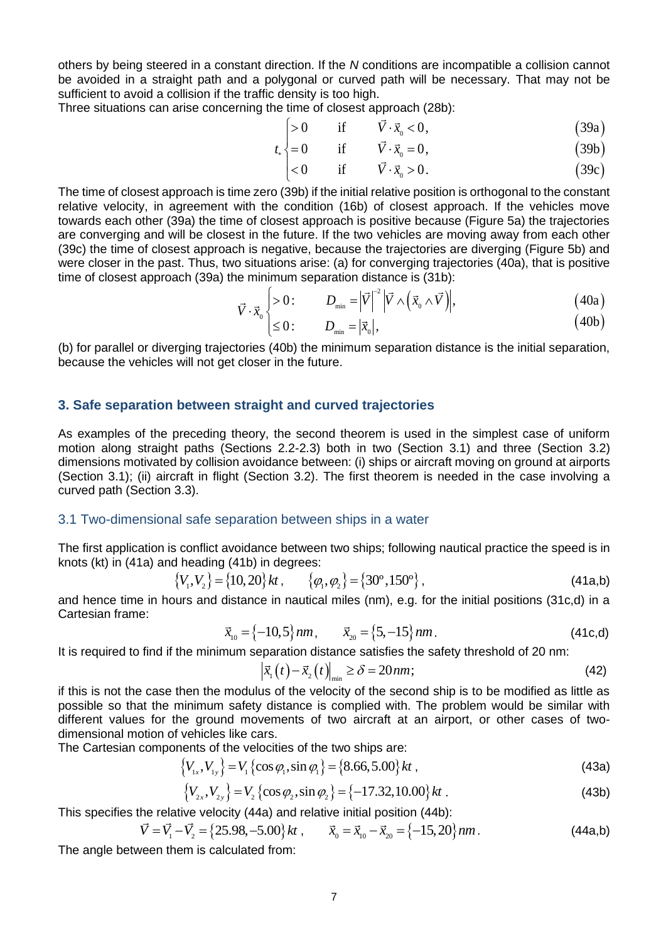others by being steered in a constant direction. If the *N* conditions are incompatible a collision cannot be avoided in a straight path and a polygonal or curved path will be necessary. That may not be sufficient to avoid a collision if the traffic density is too high. ensity is too high.<br>
time of closest approach (28b):<br>  $> 0$  if  $\vec{V} \cdot \vec{x}_0 < 0$ , (39a

Three situations can arise concerning the time of closest approach (28b):

The time of closest approach (26b).  
\n
$$
t_*\begin{cases}\n>0 & \text{if } \overrightarrow{V} \cdot \overrightarrow{x}_0 < 0, \\
=0 & \text{if } \overrightarrow{V} \cdot \overrightarrow{x}_0 = 0,\n\end{cases}
$$
\n(39a)

$$
t_*\left\{\n=0 \quad \text{if} \quad \vec{V} \cdot \vec{x}_0 = 0,\n\tag{39b}
$$

$$
\begin{cases}\n\begin{cases}\n26 & \text{if } & \hat{V} \cdot \vec{x}_0 < 0, \\
= 0 & \text{if } & \vec{V} \cdot \vec{x}_0 = 0, \\
< 0 & \text{if } & \vec{V} \cdot \vec{x}_0 > 0.\n\end{cases} \\
(39b) & (39c)\n\end{cases}
$$

The time of closest approach is time zero (39b) if the initial relative position is orthogonal to the constant relative velocity, in agreement with the condition (16b) of closest approach. If the vehicles move towards each other (39a) the time of closest approach is positive because (Figure 5a) the trajectories are converging and will be closest in the future. If the two vehicles are moving away from each other (39c) the time of closest approach is negative, because the trajectories are diverging (Figure 5b) and were closer in the past. Thus, two situations arise: (a) for converging trajectories (40a), that is positive<br>time of closest approach (39a) the minimum separation distance is (31b):<br> $\overline{V} \cdot \overline{x}_{0} \left\{ > 0: D_{min} = |\overline{V}|^{-2} |\$ time of closest approach (39a) the minimum separation distance is (31b):<br>  $\vec{V} \cdot \vec{x}_0$  > 0:  $D_{\min} = |\vec{V}|^{-2} |\vec{V} \wedge (\vec{x}_0 \wedge \vec{V})|$ ,<br>  $\begin{vmatrix} \n\sqrt{2} & \sqrt{2} & \sqrt{2} \\ \n\sqrt{2} & \sqrt{2} & \sqrt{2} \\ \n\sqrt{2} & \sqrt{2} & \sqrt{2} \n\end{vmatrix}$ 

$$
\vec{V} \cdot \vec{x}_0 \begin{cases}\n>0: & D_{\min} = |\vec{V}|^{-2} |\vec{V} \wedge (\vec{x}_0 \wedge \vec{V})|, \\
\leq 0: & D_{\min} = |\vec{x}_0|,\n\end{cases} (40a)
$$
\n(40b)

$$
\begin{aligned}\n\cdot x_0 \\
\leq 0: \qquad D_{\min} = |\vec{x}_0|,\n\end{aligned}\n\tag{40b}
$$

(b) for parallel or diverging trajectories (40b) the minimum separation distance is the initial separation, because the vehicles will not get closer in the future.

#### **3. Safe separation between straight and curved trajectories**

As examples of the preceding theory, the second theorem is used in the simplest case of uniform motion along straight paths (Sections 2.2-2.3) both in two (Section 3.1) and three (Section 3.2) dimensions motivated by collision avoidance between: (i) ships or aircraft moving on ground at airports (Section 3.1); (ii) aircraft in flight (Section 3.2). The first theorem is needed in the case involving a curved path (Section 3.3).

#### 3.1 Two-dimensional safe separation between ships in a water

The first application is conflict avoidance between two ships; following nautical practice the speed is in knots (kt) in (41a) and heading (41b) in degrees:

$$
\{V_1, V_2\} = \{10, 20\}kt, \qquad \{\varphi_1, \varphi_2\} = \{30^\circ, 150^\circ\},
$$
 (41a,b)

and hence time in hours and distance in nautical miles (nm), e.g. for the initial positions (31c,d) in a Cartesian frame:

$$
\vec{x}_{10} = \{-10, 5\} \, nm, \qquad \vec{x}_{20} = \{5, -15\} \, nm. \tag{41c,d}
$$

It is required to find if the minimum separation distance satisfies the safety threshold of 20 nm:<br> $\left|\vec{x}_{1}(t)-\vec{x}_{2}(t)\right|_{\min} \geq \delta = 20 \text{nm};$  (42)

$$
\left|\vec{x}_{1}(t)-\vec{x}_{2}(t)\right|_{\min}\geq\delta=20\,nm;\tag{42}
$$

if this is not the case then the modulus of the velocity of the second ship is to be modified as little as possible so that the minimum safety distance is complied with. The problem would be similar with different values for the ground movements of two aircraft at an airport, or other cases of twodimensional motion of vehicles like cars.

The Cartesian components of the velocities of the two ships are:  
\n
$$
\{V_{1x}, V_{1y}\} = V_1 \{\cos \varphi_1, \sin \varphi_1\} = \{8.66, 5.00\} kt,
$$
\n(43a)

$$
\{V_{1x}, V_{1y}\} = V_1 \{\cos \varphi_1, \sin \varphi_1\} = \{8.66, 5.00\} \, kt \,,
$$
\n
$$
\{V_{2x}, V_{2y}\} = V_2 \{\cos \varphi_2, \sin \varphi_2\} = \{-17.32, 10.00\} \, kt \,. \tag{43b}
$$

This specifies the relative velocity (44a) and relative initial position (44b):  
\n
$$
\vec{V} = \vec{V}_1 - \vec{V}_2 = \{25.98, -5.00\}kt, \qquad \vec{x}_0 = \vec{x}_{10} - \vec{x}_{20} = \{-15, 20\}nm.
$$
\n(44a,b)

The angle between them is calculated from: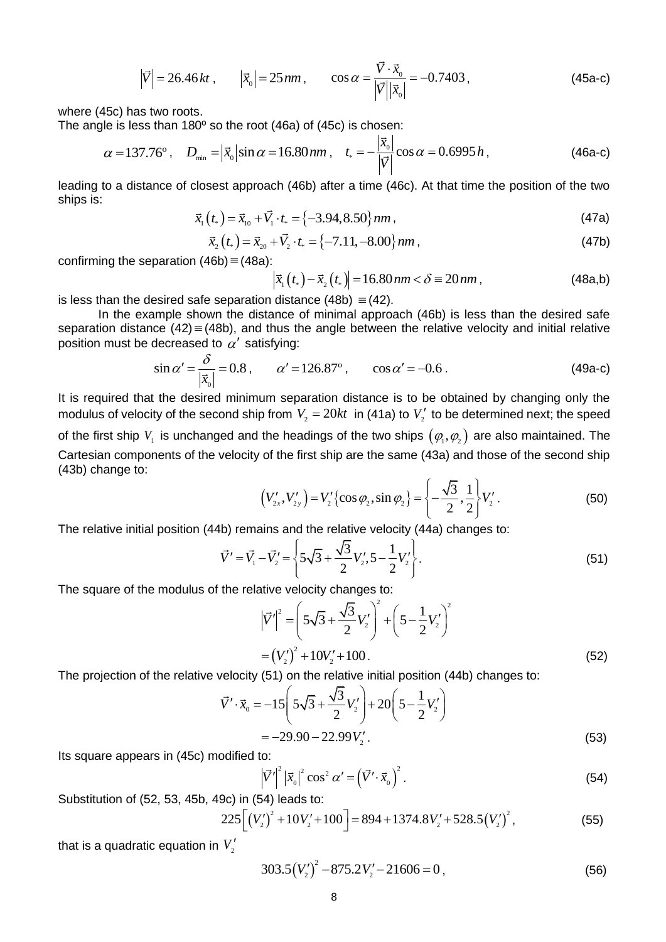$$
\left|\vec{V}\right| = 26.46 \, kt \,, \qquad \left|\vec{x}_0\right| = 25 \, nm \,, \qquad \cos \alpha = \frac{\vec{V} \cdot \vec{x}_0}{\left|\vec{V}\right| \left|\vec{x}_0\right|} = -0.7403 \,, \tag{45a-c}
$$

where (45c) has two roots.

The angle is less than 180º so the root (46a) of (45c) is chosen:

$$
\alpha = 137.76^{\circ}, \quad D_{\min} = |\vec{x}_0| \sin \alpha = 16.80 \, nm \,, \quad t_* = -\frac{|\vec{x}_0|}{|\vec{V}|} \cos \alpha = 0.6995 \, h \,, \tag{46a-c}
$$

leading to a distance of closest approach (46b) after a time (46c). At that time the position of the two ships is:

ships is:  
\n
$$
\vec{x}_{1}(t_{*}) = \vec{x}_{10} + \vec{V}_{1} \cdot t_{*} = \{-3.94, 8.50\} \, nm,
$$
\n(47a)

$$
x_1(t_*) = x_{10} + V_1 \cdot t_* = \{-3.94, 8.50\} \, nm \,, \tag{47a}
$$
\n
$$
\vec{x}_2(t_*) = \vec{x}_{20} + \vec{V}_2 \cdot t_* = \{-7.11, -8.00\} \, nm \,, \tag{47b}
$$

confirming the separation (46b) = (48a):  
\n
$$
|\vec{x}_1(t_*) - \vec{x}_2(t_*)| = 16.80 \text{ nm} < \delta = 20 \text{ nm},
$$
\n(48a,b)

is less than the desired safe separation distance  $(48b) \equiv (42)$ .

In the example shown the distance of minimal approach (46b) is less than the desired safe separation distance  $(42) \equiv (48b)$ , and thus the angle between the relative velocity and initial relative position must be decreased to  $\alpha'$  satisfying:

$$
\sin \alpha' = \frac{\delta}{|\vec{x}_0|} = 0.8 \,, \qquad \alpha' = 126.87^{\circ} \,, \qquad \cos \alpha' = -0.6 \,. \tag{49a-c}
$$

It is required that the desired minimum separation distance is to be obtained by changing only the modulus of velocity of the second ship from  $V_2 = 20kt$  in (41a) to  $V_2'$  to be determined next; the speed of the first ship  $V_{_1}$  is unchanged and the headings of the two ships  $\big(\varphi_{_1},\varphi_{_2}\big)$  are also maintained. The Cartesian components of the velocity of the first ship are the same (43a) and those of the second ship (43b) change to:

$$
\left(V'_{2x}, V'_{2y}\right) = V'_2 \left\{\cos \varphi_2, \sin \varphi_2\right\} = \left\{-\frac{\sqrt{3}}{2}, \frac{1}{2}\right\} V'_2.
$$
 (50)

The relative initial position (44b) remains and the relative velocity (44a) changes to:  
\n
$$
\vec{V}' = \vec{V}_1 - \vec{V}_2' = \left\{ 5\sqrt{3} + \frac{\sqrt{3}}{2}V_2', 5 - \frac{1}{2}V_2' \right\}.
$$
\n(51)

The square of the modulus of the relative velocity changes to:  
\n
$$
\left|\vec{V}'\right|^2 = \left(5\sqrt{3} + \frac{\sqrt{3}}{2}V_2'\right)^2 + \left(5 - \frac{1}{2}V_2'\right)^2
$$
\n
$$
= \left(V_2'\right)^2 + 10V_2' + 100. \tag{52}
$$

The projection of the relative velocity (51) on the relative initial position (44b) changes to:  
\n
$$
\vec{V}' \cdot \vec{x}_0 = -15 \left( 5\sqrt{3} + \frac{\sqrt{3}}{2} V'_2 \right) + 20 \left( 5 - \frac{1}{2} V'_2 \right)
$$
\n
$$
= -29.90 - 22.99 V'_2. \tag{53}
$$

Its square appears in (45c) modified to:

$$
\left|\vec{V}'\right|^2 \left|\vec{x}_0\right|^2 \cos^2 \alpha' = \left(\vec{V}' \cdot \vec{x}_0\right)^2. \tag{54}
$$

Substitution of (52, 53, 45b, 49c) in (54) leads to:

9c) in (54) leads to:  
\n
$$
225[(V'_2)^2 + 10V'_2 + 100] = 894 + 1374.8V'_2 + 528.5(V'_2)^2,
$$
\n(55)

that is a quadratic equation in  $V^\prime_2$ 

$$
303.5(V_2')^2 - 875.2V_2' - 21606 = 0,
$$
\n(56)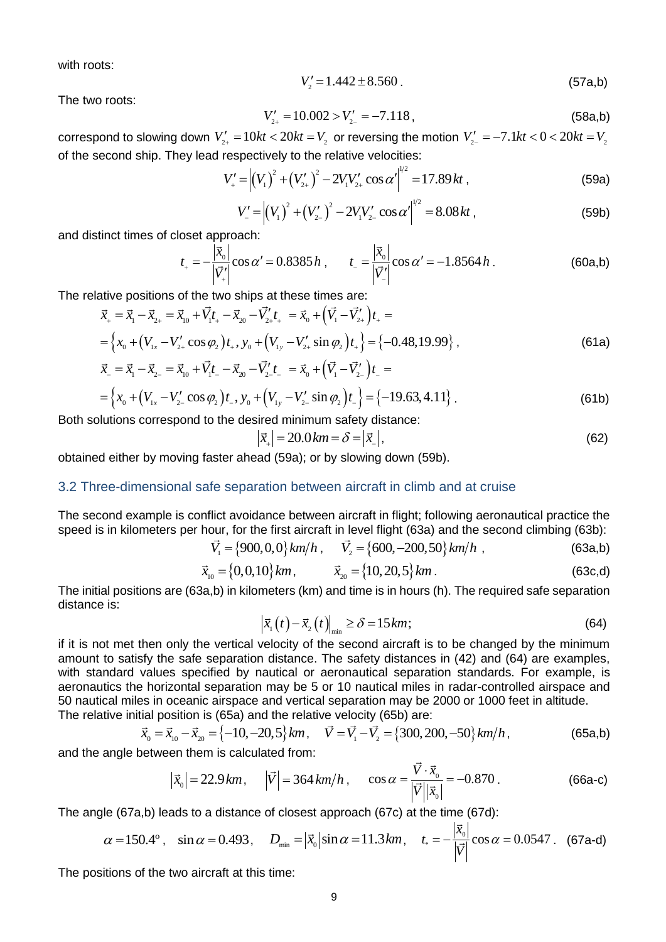with roots:

$$
V_2' = 1.442 \pm 8.560 \,. \tag{57a,b}
$$

The two roots:

$$
V'_{2+} = 10.002 > V'_{2-} = -7.118,
$$
\n(58a,b)

correspond to slowing down  $V'_{2+} = 10kt < 20kt = V_2$  or reversing the motion  $V'_{2-} = -7.1kt < 0 < 20kt = V_2$ 

of the second ship. They lead respectively to the relative velocities:  
\n
$$
V'_{+} = \left| \left( V_{1} \right)^{2} + \left( V'_{2+} \right)^{2} - 2V_{1}V'_{2+} \cos \alpha' \right|^{1/2} = 17.89 \, kt \,, \tag{59a}
$$

$$
V'_{+} = \left| (V_1)^2 + (V_{2+}^{\prime})^2 - 2V_1V_{2+}^{\prime} \cos \alpha' \right|^{1/2} = 8.08kt,
$$
\n(59b)

and distinct times of closet approach:

$$
t_{+} = -\frac{\left|\vec{x}_{0}\right|}{\left|\vec{V}_{+}'\right|} \cos \alpha' = 0.8385 h , \qquad t_{-} = \frac{\left|\vec{x}_{0}\right|}{\left|\vec{V}_{-}'\right|} \cos \alpha' = -1.8564 h . \tag{60a,b}
$$

The relative positions of the two ships at these times are:  
\n
$$
\vec{x}_{+} = \vec{x}_{1} - \vec{x}_{2+} = \vec{x}_{10} + \vec{V}_{1}t_{+} - \vec{x}_{20} - \vec{V}_{2+}t_{+} = \vec{x}_{0} + (\vec{V}_{1} - \vec{V}_{2+}t_{+})t_{+} =
$$
\n
$$
= \left\{ x_{0} + (V_{1x} - V_{2+}'\cos\varphi_{2})t_{+}, y_{0} + (V_{1y} - V_{2+}'\sin\varphi_{2})t_{+} \right\} = \left\{ -0.48,19.99 \right\},
$$
\n(61a)  
\n
$$
\vec{x}_{-} = \vec{x}_{1} - \vec{x}_{2-} = \vec{x}_{10} + \vec{V}_{1}t_{-} - \vec{x}_{20} - \vec{V}_{2}t_{-} = \vec{x}_{0} + (\vec{V}_{1} - \vec{V}_{2-}t_{-})t_{-} =
$$

$$
\vec{x}_{-} = \vec{x}_{1} - \vec{x}_{2-} = \vec{x}_{10} + \vec{V}_{1}t_{-} - \vec{x}_{20} - \vec{V}_{2}'t_{-} = \vec{x}_{0} + (\vec{V}_{1} - \vec{V}_{2-}')t_{-} = \n= \left\{ x_{0} + (V_{1x} - V_{2}' \cos \varphi_{2})t_{-}, y_{0} + (V_{1y} - V_{2}' \sin \varphi_{2})t_{-} \right\} = \left\{ -19.63, 4.11 \right\}.
$$
\n(61b)

Both solutions correspond to the desired minimum safety distance:

$$
|\vec{x}_{+}| = 20.0 \, km = \delta = |\vec{x}_{-}|,\tag{62}
$$

obtained either by moving faster ahead (59a); or by slowing down (59b).

#### 3.2 Three-dimensional safe separation between aircraft in climb and at cruise

The second example is conflict avoidance between aircraft in flight; following aeronautical practice the speed is in kilometers per hour, for the first aircraft in level flight (63a) and the second climbing (63b):<br> $\vec{V}_1 = \{900, 0, 0\}$ *km*/*h*,  $\vec{V}_2 = \{600, -200, 50\}$ *km*/*h*, (63a,b)

$$
\vec{V}_1 = \{900, 0, 0\} \, \text{km/h} \,, \qquad \vec{V}_2 = \{600, -200, 50\} \, \text{km/h} \,, \tag{63a,b}
$$

$$
\vec{x}_{10} = \{0, 0, 10\} \, km \,, \qquad \vec{x}_{20} = \{10, 20, 5\} \, km \,. \tag{63c,d}
$$

The initial positions are (63a,b) in kilometers (km) and time is in hours (h). The required safe separation distance is:

$$
\left|\vec{x}_{1}(t)-\vec{x}_{2}(t)\right|_{\min}\geq\delta=15km;\tag{64}
$$

if it is not met then only the vertical velocity of the second aircraft is to be changed by the minimum amount to satisfy the safe separation distance. The safety distances in (42) and (64) are examples, with standard values specified by nautical or aeronautical separation standards. For example, is aeronautics the horizontal separation may be 5 or 10 nautical miles in radar-controlled airspace and 50 nautical miles in oceanic airspace and vertical separation may be 2000 or 1000 feet in altitude.

The relative initial position is (65a) and the relative velocity (65b) are:  
\n
$$
\vec{x}_0 = \vec{x}_{10} - \vec{x}_{20} = \{-10, -20, 5\}km, \quad \vec{V} = \vec{V}_1 - \vec{V}_2 = \{300, 200, -50\}km/h,
$$
\n(65a,b)

and the angle between them is calculated from:

$$
|\vec{x}_0| = 22.9 \text{ km}, \quad |\vec{V}| = 364 \text{ km/h}, \quad \cos \alpha = \frac{\vec{V} \cdot \vec{x}_0}{|\vec{V}| |\vec{x}_0|} = -0.870.
$$
 (66a-c)

The angle (67a,b) leads to a distance of closest approach (67c) at the time (67d): *x*<sub>1</sub>  $\rightarrow$  1

$$
\alpha = 150.4^{\circ}
$$
,  $\sin \alpha = 0.493$ ,  $D_{\min} = |\vec{x}_0| \sin \alpha = 11.3$  km,  $t_* = -\frac{|\vec{x}_0|}{|\vec{V}|} \cos \alpha = 0.0547$ . (67a-d)

The positions of the two aircraft at this time: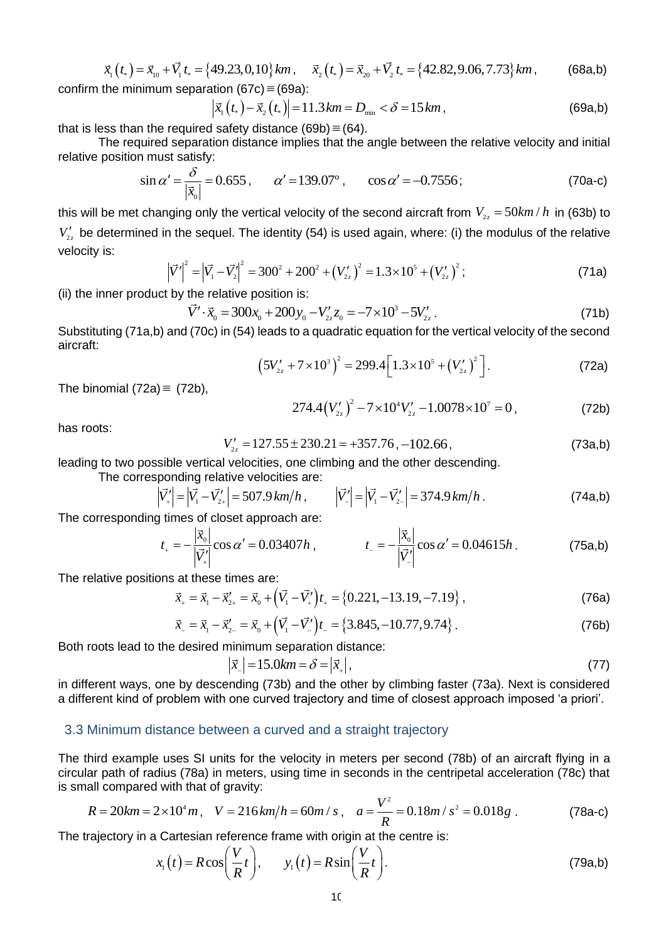$$
\vec{x}_1(t_*) = \vec{x}_{10} + \vec{V}_1 t_* = \{49.23, 0, 10\} \, km \,, \quad \vec{x}_2(t_*) = \vec{x}_{20} + \vec{V}_2 t_* = \{42.82, 9.06, 7.73\} \, km \,, \tag{68a,b}
$$

confirm the minimum separation (67c) 
$$
\equiv
$$
 (69a):  
\n
$$
\left|\vec{x}_{1}(t_{*}) - \vec{x}_{2}(t_{*})\right| = 11.3 \, km = D_{min} < \delta = 15 \, km,
$$
\n(69a,b)

that is less than the required safety distance  $(69b) \equiv (64)$ .

The required separation distance implies that the angle between the relative velocity and initial relative position must satisfy:

$$
\sin \alpha' = \frac{\delta}{|\vec{x}_0|} = 0.655 \,, \qquad \alpha' = 139.07^{\circ} \,, \qquad \cos \alpha' = -0.7556 \,;
$$
 (70a-c)

this will be met changing only the vertical velocity of the second aircraft from  $V_{_{2z}} = 50 km/h$  in (63b) to  $V'_{2z}$  be determined in the sequel. The identity (54) is used again, where: (i) the modulus of the relative velocity is:

velocity is:  
\n
$$
|\vec{V}|^2 = |\vec{V}_1 - \vec{V}_2|^2 = 300^2 + 200^2 + (V_{2z}')^2 = 1.3 \times 10^5 + (V_{2z}')^2;
$$
\n(71a)

(ii) the inner product by the relative position is:  
\n
$$
\vec{V}' \cdot \vec{x}_0 = 300x_0 + 200y_0 - V'_{2z}z_0 = -7 \times 10^3 - 5V'_{2z}.
$$
\n(71b)

Substituting (71a,b) and (70c) in (54) leads to a quadratic equation for the vertical velocity of the second aircraft:

$$
(5V'_{2z} + 7 \times 10^{3})^{2} = 299.4 \left[ 1.3 \times 10^{5} + (V'_{2z})^{2} \right].
$$
 (72a)

The binomial  $(72a) \equiv (72b)$ ,

The binomial (72a) 
$$
\equiv
$$
 (72b),  $274.4(V'_{2z})^2 - 7 \times 10^4 V'_{2z} - 1.0078 \times 10^7 = 0,$  (72b)

has roots:

$$
V'_{2z} = 127.55 \pm 230.21 = +357.76, -102.66,
$$
 (73a,b)

leading to two possible vertical velocities, one climbing and the other descending.

The corresponding relative velocities are:  
\n
$$
|\vec{V}_+'| = |\vec{V}_1 - \vec{V}_2'| = 507.9 \text{ km/h}, \qquad |\vec{V}_-'| = |\vec{V}_1 - \vec{V}_2'| = 374.9 \text{ km/h}.
$$
 (74a,b)

The corresponding times of closet approach are:

$$
t_{+} = -\frac{\left|\vec{x}_{0}\right|}{\left|\vec{V}_{+}^{'}\right|} \cos \alpha' = 0.03407 h , \qquad t_{-} = -\frac{\left|\vec{x}_{0}\right|}{\left|\vec{V}_{-}^{'}\right|} \cos \alpha' = 0.04615 h . \qquad (75a,b)
$$

The relative positions at these times are:

The relative positions at these times are:  
\n
$$
\vec{x}_{+} = \vec{x}_{1} - \vec{x}'_{2+} = \vec{x}_{0} + (\vec{V}_{1} - \vec{V}'_{+})t_{+} = \{0.221, -13.19, -7.19\},
$$
\n(76a)  
\n
$$
\vec{x}_{-} = \vec{x}_{1} - \vec{x}'_{2-} = \vec{x}_{0} + (\vec{V}_{1} - \vec{V}'_{-})t_{-} = \{3.845, -10.77, 9.74\}.
$$
\n(76b)

$$
\vec{x}_{-} = \vec{x}_{1} - \vec{x}'_{2-} = \vec{x}_{0} + (\vec{V}_{1} - \vec{V}'_{-})t_{-} = \{3.845, -10.77, 9.74\}.
$$
\n(76b)

Both roots lead to the desired minimum separation distance:

$$
|\vec{x}_{-}| = 15.0 \text{km} = \delta = |\vec{x}_{+}|,
$$
 (77)

in different ways, one by descending (73b) and the other by climbing faster (73a). Next is considered a different kind of problem with one curved trajectory and time of closest approach imposed 'a priori'.

#### 3.3 Minimum distance between a curved and a straight trajectory

The third example uses SI units for the velocity in meters per second (78b) of an aircraft flying in a circular path of radius (78a) in meters, using time in seconds in the centripetal acceleration (78c) that is small compared with that of gravity:

$$
R = 20km = 2 \times 10^4 m, \quad V = 216 \, km/h = 60m/s, \quad a = \frac{V^2}{R} = 0.18m/s^2 = 0.018g \,. \tag{78a-c}
$$

The trajectory in a Cartesian reference frame with origin at the centre is:

$$
x_1(t) = R\cos\left(\frac{V}{R}t\right), \qquad y_1(t) = R\sin\left(\frac{V}{R}t\right). \tag{79a,b}
$$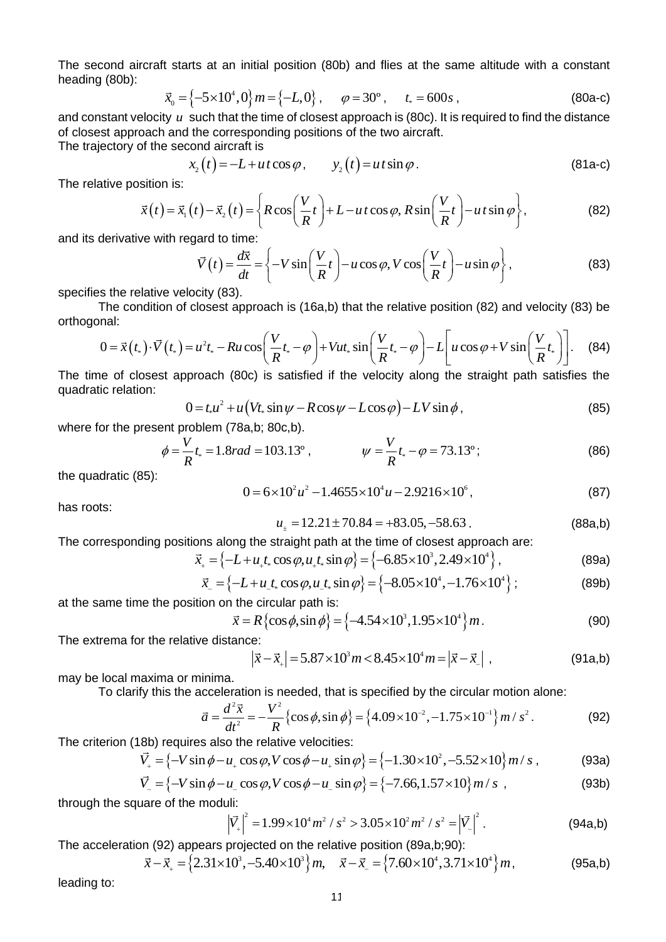The second aircraft starts at an initial position (80b) and flies at the same altitude with a constant heading (80b):

$$
\vec{x}_0 = \{-5 \times 10^4, 0\} m = \{-L, 0\}, \qquad \varphi = 30^\circ, \qquad t_* = 600s \,, \tag{80a-c}
$$

and constant velocity  $u$  such that the time of closest approach is (80c). It is required to find the distance of closest approach and the corresponding positions of the two aircraft.

The trajectory of the second aircraft is

$$
x_2(t) = -L + ut \cos \varphi, \qquad y_2(t) = ut \sin \varphi.
$$
 (81a-c)

The relative position is:

$$
x_2(t) = -L + ut \cos \varphi, \qquad y_2(t) = ut \sin \varphi.
$$
\nThe relative position is:\n
$$
\vec{x}(t) = \vec{x}_1(t) - \vec{x}_2(t) = \left\{ R \cos \left( \frac{V}{R} t \right) + L - ut \cos \varphi, R \sin \left( \frac{V}{R} t \right) - ut \sin \varphi \right\},
$$
\n(81a-c)\nand its derivative with regard to time:

and its derivative with regard to time:

and its derivative with regard to time:  
\n
$$
\vec{V}(t) = \frac{d\vec{x}}{dt} = \left\{-V\sin\left(\frac{V}{R}t\right) - u\cos\varphi, V\cos\left(\frac{V}{R}t\right) - u\sin\varphi\right\},
$$
\n(83)

specifies the relative velocity (83).

The condition of closest approach is (16a,b) that the relative position (82) and velocity (83) be orthogonal:

\n The relative velocity (83). The condition of closest approach is (16a,b) that the relative position (82) and velocity (83) be\n 
$$
0 = \vec{x}(t_*) \cdot \vec{V}(t_*) = u^2 t_* - R u \cos\left(\frac{V}{R}t_* - \varphi\right) + V u t_* \sin\left(\frac{V}{R}t_* - \varphi\right) - L \left[ u \cos \varphi + V \sin\left(\frac{V}{R}t_*\right) \right].
$$
\n

\n\n (84) The of closest approach (80c) is satisfied if the velocity along the straight path satisfies the\n

The time of closest approach (80c) is satisfied if the velocity along the straight path satisfies the quadratic relation:<br>  $0 = t_* u^2 + u(Vt_* \sin \psi - R \cos \psi - L \cos \phi) - LV \sin \phi$ , (85) quadratic relation:

$$
0 = t_* u^2 + u \left( V t_* \sin \psi - R \cos \psi - L \cos \varphi \right) - LV \sin \phi , \qquad (85)
$$

where for the present problem (78a,b; 80c,b).

$$
\phi = \frac{V}{R}t_* = 1.8rad = 103.13^\circ, \qquad \psi = \frac{V}{R}t_* - \varphi = 73.13^\circ; \tag{86}
$$

the quadratic (85):

$$
0 = 6 \times 10^2 u^2 - 1.4655 \times 10^4 u - 2.9216 \times 10^6,
$$
 (87)

has roots:

has roots:  
\n
$$
u_{\pm} = 12.21 \pm 70.84 = +83.05, -58.63
$$
. (88a,b)

The corresponding positions along the straight path at the time of closest approach are:<br> $\vec{x} = (-L + u \ t \cos \omega u \ t \sin \omega) = (-6.85 \times 10^3, 2.49 \times 10^4).$ 

$$
u_{\pm} = 12.21 \pm 70.84 = +83.05, -58.63
$$
 (88a,b)  
The corresponding positions along the straight path at the time of closest approach are:  

$$
\vec{x}_{+} = \{-L + u_{+}t_{+}\cos\varphi, u_{+}t_{+}\sin\varphi\} = \{-6.85 \times 10^{3}, 2.49 \times 10^{4}\},
$$
 (89a)

The corresponding positions along the straight part at the time of closest approach are.  
\n
$$
\vec{x}_{+} = \{-L + u_{+}t_{*} \cos \varphi, u_{+}t_{*} \sin \varphi\} = \{-6.85 \times 10^{3}, 2.49 \times 10^{4}\}, \qquad (89a)
$$
\n
$$
\vec{x}_{-} = \{-L + u_{-}t_{*} \cos \varphi, u_{-}t_{*} \sin \varphi\} = \{-8.05 \times 10^{4}, -1.76 \times 10^{4}\}; \qquad (89b)
$$

at the same time the position on the circular path is:

at the same time the position on the circular path is:  
\n
$$
\vec{x} = R \{ \cos \phi, \sin \phi \} = \{ -4.54 \times 10^3, 1.95 \times 10^4 \} m.
$$
\n(90)

The extrema for the relative distance:

ce:  
\n
$$
|\vec{x} - \vec{x}_+|
$$
 = 5.87×10<sup>3</sup>m < 8.45×10<sup>4</sup>m =  $|\vec{x} - \vec{x}_-|$ , (91a,b)

may be local maxima or minima.

may be local maxima or minima.  
\nTo clarify this the acceleration is needed, that is specified by the circular motion alone:  
\n
$$
\vec{a} = \frac{d^2 \vec{x}}{dt^2} = -\frac{V^2}{R} \{ \cos \phi, \sin \phi \} = \{ 4.09 \times 10^{-2}, -1.75 \times 10^{-1} \} m / s^2.
$$
\n(92)  
\nThe criterion (18b) requires also the relative velocities:  
\n
$$
\vec{V}_+ = \{ -V \sin \phi - u_+ \cos \phi, V \cos \phi - u_+ \sin \phi \} = \{ -1.30 \times 10^2, -5.52 \times 10 \} m / s ,
$$
\n(93a)

The criterion (18b) requires also the relative velocities:

$$
\vec{V}_+ = \left\{-V\sin\phi - u_+\cos\phi, V\cos\phi - u_+\sin\phi\right\} = \left\{-1.30 \times 10^2, -5.52 \times 10\right\} m/s ,\qquad (93a)
$$

n (18b) requires also the relative velocities:  
\n
$$
\vec{V}_+ = \{-V \sin \phi - u_+ \cos \phi, V \cos \phi - u_+ \sin \phi\} = \{-1.30 \times 10^2, -5.52 \times 10\} m/s,
$$
\n(93a)  
\n
$$
\vec{V}_- = \{-V \sin \phi - u_- \cos \phi, V \cos \phi - u_- \sin \phi\} = \{-7.66, 1.57 \times 10\} m/s,
$$
\n(93b)

through the square of the moduli:

$$
|\vec{V}_{+}|^{2} = 1.99 \times 10^{4} m^{2} / s^{2} > 3.05 \times 10^{2} m^{2} / s^{2} = |\vec{V}_{-}|^{2}
$$
 (94a,b)

The acceleration (92) appears projected on the relative position (89a,b;90):

The acceleration (92) appears projected on the relative position (89a,b;90):<br> $\vec{x} - \vec{x}_+ = \{2.31 \times 10^3, -5.40 \times 10^3\} m, \quad \vec{x} - \vec{x}_- = \{7.60 \times 10^4, 3.71 \times 10^4\} m$  $\left|\vec{V}_{+}\right|^{2} = 1.99 \times 10^{4} m^{2} / s^{2} > 3.05 \times 10^{2} m^{2} / s^{2} = \left|\vec{V}_{-}\right|^{2}.$ <br> **2.31×10<sup>3</sup>,−5.40×10<sup>3</sup>}** *m*,  $\vec{x} - \vec{x}_{-} = \{7.60 \times 10^{4}, 3.71 \times 10^{4}\} m$ ,  $(95a,b)$ 

leading to: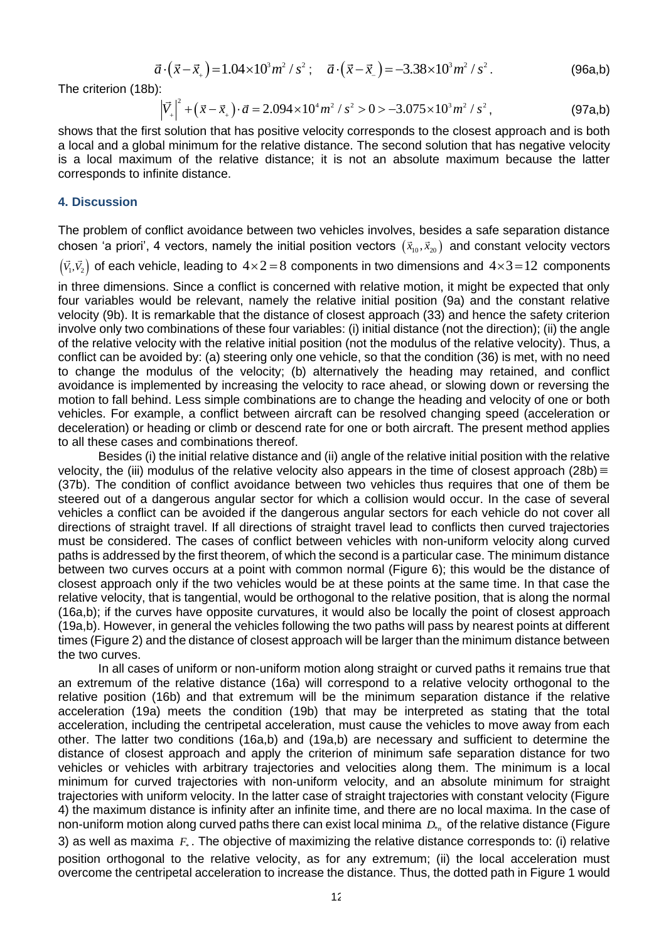$$
\vec{a} \cdot (\vec{x} - \vec{x}_+) = 1.04 \times 10^3 m^2 / s^2 \; ; \quad \vec{a} \cdot (\vec{x} - \vec{x}_-) = -3.38 \times 10^3 m^2 / s^2 \; . \tag{96a,b}
$$

The criterion (18b):

$$
a \cdot (x - x_{+}) = 1.04 \times 10 \, \text{m/s} \, ; \quad a \cdot (x - x_{-}) = -3.58 \times 10 \, \text{m/s} \, . \tag{96a,b}
$$
\n
$$
\left| \vec{V}_{+} \right|^{2} + \left( \vec{x} - \vec{x}_{+} \right) \cdot \vec{a} = 2.094 \times 10^{4} \, \text{m}^{2} / \, s^{2} > 0 > -3.075 \times 10^{3} \, \text{m}^{2} / \, s^{2}, \tag{97a,b}
$$

shows that the first solution that has positive velocity corresponds to the closest approach and is both a local and a global minimum for the relative distance. The second solution that has negative velocity is a local maximum of the relative distance; it is not an absolute maximum because the latter corresponds to infinite distance.

#### **4. Discussion**

The problem of conflict avoidance between two vehicles involves, besides a safe separation distance chosen 'a priori', 4 vectors, namely the initial position vectors  $(\vec{x}_{10},\vec{x}_{20})$  and constant velocity vectors

 $\left(\vec{v_{\text{i}}},\vec{v_{\text{2}}}\right)$  of each vehicle, leading to  $4\!\times\!2\!=\!8$  components in two dimensions and  $4\!\times\!3\!=\!12$  components

in three dimensions. Since a conflict is concerned with relative motion, it might be expected that only four variables would be relevant, namely the relative initial position (9a) and the constant relative velocity (9b). It is remarkable that the distance of closest approach (33) and hence the safety criterion involve only two combinations of these four variables: (i) initial distance (not the direction); (ii) the angle of the relative velocity with the relative initial position (not the modulus of the relative velocity). Thus, a conflict can be avoided by: (a) steering only one vehicle, so that the condition (36) is met, with no need to change the modulus of the velocity; (b) alternatively the heading may retained, and conflict avoidance is implemented by increasing the velocity to race ahead, or slowing down or reversing the motion to fall behind. Less simple combinations are to change the heading and velocity of one or both vehicles. For example, a conflict between aircraft can be resolved changing speed (acceleration or deceleration) or heading or climb or descend rate for one or both aircraft. The present method applies to all these cases and combinations thereof.

Besides (i) the initial relative distance and (ii) angle of the relative initial position with the relative velocity, the (iii) modulus of the relative velocity also appears in the time of closest approach (28b) = (37b). The condition of conflict avoidance between two vehicles thus requires that one of them be steered out of a dangerous angular sector for which a collision would occur. In the case of several vehicles a conflict can be avoided if the dangerous angular sectors for each vehicle do not cover all directions of straight travel. If all directions of straight travel lead to conflicts then curved trajectories must be considered. The cases of conflict between vehicles with non-uniform velocity along curved paths is addressed by the first theorem, of which the second is a particular case. The minimum distance between two curves occurs at a point with common normal (Figure 6); this would be the distance of closest approach only if the two vehicles would be at these points at the same time. In that case the relative velocity, that is tangential, would be orthogonal to the relative position, that is along the normal (16a,b); if the curves have opposite curvatures, it would also be locally the point of closest approach (19a,b). However, in general the vehicles following the two paths will pass by nearest points at different times (Figure 2) and the distance of closest approach will be larger than the minimum distance between the two curves.

In all cases of uniform or non-uniform motion along straight or curved paths it remains true that an extremum of the relative distance (16a) will correspond to a relative velocity orthogonal to the relative position (16b) and that extremum will be the minimum separation distance if the relative acceleration (19a) meets the condition (19b) that may be interpreted as stating that the total acceleration, including the centripetal acceleration, must cause the vehicles to move away from each other. The latter two conditions (16a,b) and (19a,b) are necessary and sufficient to determine the distance of closest approach and apply the criterion of minimum safe separation distance for two vehicles or vehicles with arbitrary trajectories and velocities along them. The minimum is a local minimum for curved trajectories with non-uniform velocity, and an absolute minimum for straight trajectories with uniform velocity. In the latter case of straight trajectories with constant velocity (Figure 4) the maximum distance is infinity after an infinite time, and there are no local maxima. In the case of non-uniform motion along curved paths there can exist local minima  $\,_{\scriptscriptstyle\rm F_n}$  of the relative distance (Figure 3) as well as maxima F<sub>\*</sub>. The objective of maximizing the relative distance corresponds to: (i) relative position orthogonal to the relative velocity, as for any extremum; (ii) the local acceleration must overcome the centripetal acceleration to increase the distance. Thus, the dotted path in Figure 1 would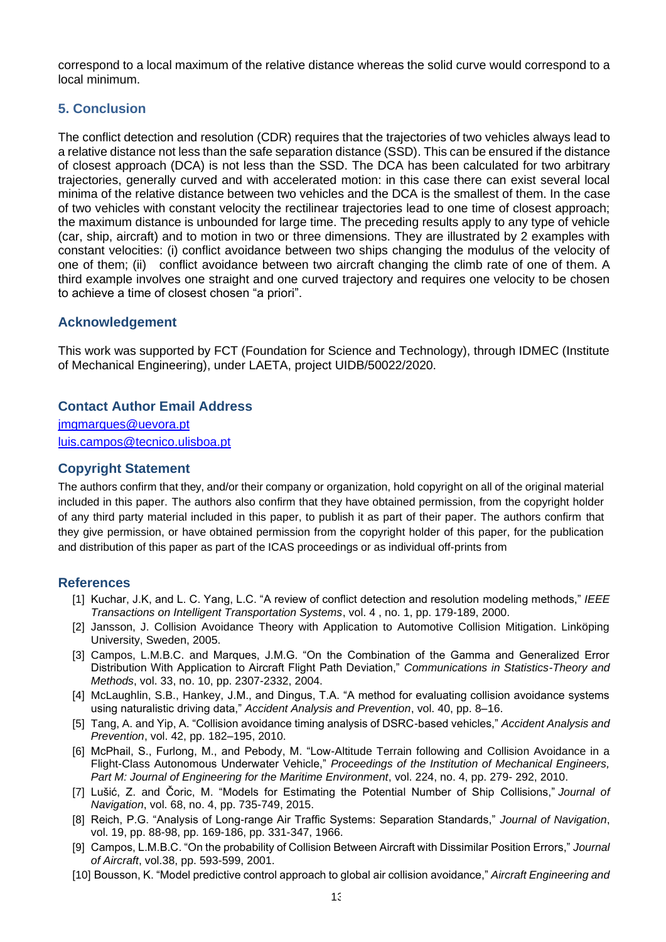correspond to a local maximum of the relative distance whereas the solid curve would correspond to a local minimum.

## **5. Conclusion**

The conflict detection and resolution (CDR) requires that the trajectories of two vehicles always lead to a relative distance not less than the safe separation distance (SSD). This can be ensured if the distance of closest approach (DCA) is not less than the SSD. The DCA has been calculated for two arbitrary trajectories, generally curved and with accelerated motion: in this case there can exist several local minima of the relative distance between two vehicles and the DCA is the smallest of them. In the case of two vehicles with constant velocity the rectilinear trajectories lead to one time of closest approach; the maximum distance is unbounded for large time. The preceding results apply to any type of vehicle (car, ship, aircraft) and to motion in two or three dimensions. They are illustrated by 2 examples with constant velocities: (i) conflict avoidance between two ships changing the modulus of the velocity of one of them; (ii) conflict avoidance between two aircraft changing the climb rate of one of them. A third example involves one straight and one curved trajectory and requires one velocity to be chosen to achieve a time of closest chosen "a priori".

### **Acknowledgement**

This work was supported by FCT (Foundation for Science and Technology), through IDMEC (Institute of Mechanical Engineering), under LAETA, project UIDB/50022/2020.

### **Contact Author Email Address**

[jmgmarques@uevora.pt](mailto:jmgmarques@uevora.pt) [luis.campos@tecnico.ulisboa.pt](mailto:luis.campos@tecnico.ulisboa.pt)

### **Copyright Statement**

The authors confirm that they, and/or their company or organization, hold copyright on all of the original material included in this paper. The authors also confirm that they have obtained permission, from the copyright holder of any third party material included in this paper, to publish it as part of their paper. The authors confirm that they give permission, or have obtained permission from the copyright holder of this paper, for the publication and distribution of this paper as part of the ICAS proceedings or as individual off-prints from

### **References**

- [1] Kuchar, J.K, and L. C. Yang, L.C. "A review of conflict detection and resolution modeling methods," *IEEE Transactions on Intelligent Transportation Systems*, vol. 4 , no. 1, pp. 179-189, 2000.
- [2] Jansson, J. Collision Avoidance Theory with Application to Automotive Collision Mitigation. Linköping University, Sweden, 2005.
- [3] Campos, L.M.B.C. and Marques, J.M.G. "On the Combination of the Gamma and Generalized Error Distribution With Application to Aircraft Flight Path Deviation," *Communications in Statistics-Theory and Methods*, vol. 33, no. 10, pp. 2307-2332, 2004.
- [4] McLaughlin, S.B., Hankey, J.M., and Dingus, T.A. "A method for evaluating collision avoidance systems using naturalistic driving data," *Accident Analysis and Prevention*, vol. 40, pp. 8–16.
- [5] Tang, A. and Yip, A. "Collision avoidance timing analysis of DSRC-based vehicles," *Accident Analysis and Prevention*, vol. 42, pp. 182–195, 2010.
- [6] McPhail, S., Furlong, M., and Pebody, M. "Low-Altitude Terrain following and Collision Avoidance in a Flight-Class Autonomous Underwater Vehicle," *Proceedings of the Institution of Mechanical Engineers, Part M: Journal of Engineering for the Maritime Environment*, vol. 224, no. 4, pp. 279- 292, 2010.
- [7] Lušić, Z. and Čoric, M. "Models for Estimating the Potential Number of Ship Collisions," *Journal of Navigation*, vol. 68, no. 4, pp. 735-749, 2015.
- [8] Reich, P.G. "Analysis of Long-range Air Traffic Systems: Separation Standards," *Journal of Navigation*, vol. 19, pp. 88-98, pp. 169-186, pp. 331-347, 1966.
- [9] Campos, L.M.B.C. "On the probability of Collision Between Aircraft with Dissimilar Position Errors," *Journal of Aircraft*, vol.38, pp. 593-599, 2001.
- [10] Bousson, K. "Model predictive control approach to global air collision avoidance," *Aircraft Engineering and*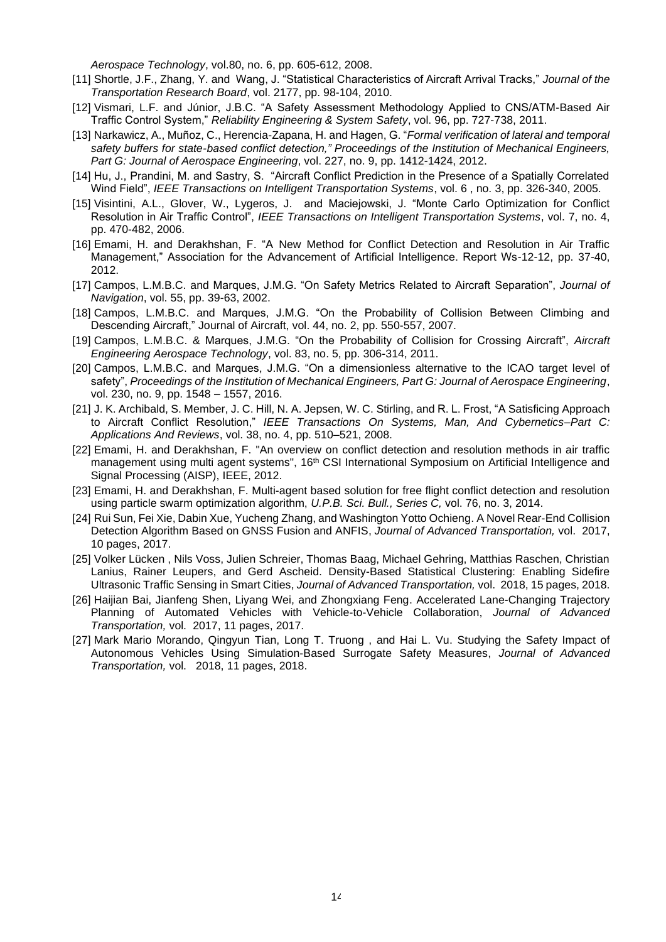*Aerospace Technology*, vol.80, no. 6, pp. 605-612, 2008.

- [11] Shortle, J.F., Zhang, Y. and Wang, J. "Statistical Characteristics of Aircraft Arrival Tracks," *Journal of the Transportation Research Board*, vol. 2177, pp. 98-104, 2010.
- [12] Vismari, L.F. and Júnior, J.B.C. "A Safety Assessment Methodology Applied to CNS/ATM-Based Air Traffic Control System," *Reliability Engineering & System Safety*, vol. 96, pp. 727-738, 2011.
- [13] Narkawicz, A., Muñoz, C., Herencia-Zapana, H. and Hagen, G. "*Formal verification of lateral and temporal safety buffers for state-based conflict detection," Proceedings of the Institution of Mechanical Engineers, Part G: Journal of Aerospace Engineering*, vol. 227, no. 9, pp. 1412-1424, 2012.
- [14] Hu, J., Prandini, M. and Sastry, S. "Aircraft Conflict Prediction in the Presence of a Spatially Correlated Wind Field", *IEEE Transactions on Intelligent Transportation Systems*, vol. 6 , no. 3, pp. 326-340, 2005.
- [15] Visintini, A.L., Glover, W., Lygeros, J. and Maciejowski, J. "Monte Carlo Optimization for Conflict Resolution in Air Traffic Control", *IEEE Transactions on Intelligent Transportation Systems*, vol. 7, no. 4, pp. 470-482, 2006.
- [16] Emami, H. and Derakhshan, F. "A New Method for Conflict Detection and Resolution in Air Traffic Management," Association for the Advancement of Artificial Intelligence. Report Ws-12-12, pp. 37-40, 2012.
- [17] Campos, L.M.B.C. and Marques, J.M.G. "On Safety Metrics Related to Aircraft Separation", *Journal of Navigation*, vol. 55, pp. 39-63, 2002.
- [18] Campos, L.M.B.C. and Marques, J.M.G. "On the Probability of Collision Between Climbing and Descending Aircraft," Journal of Aircraft, vol. 44, no. 2, pp. 550-557, 2007.
- [19] Campos, L.M.B.C. & Marques, J.M.G. "On the Probability of Collision for Crossing Aircraft", *Aircraft Engineering Aerospace Technology*, vol. 83, no. 5, pp. 306-314, 2011.
- [20] Campos, L.M.B.C. and Marques, J.M.G. "On a dimensionless alternative to the ICAO target level of safety", *Proceedings of the Institution of Mechanical Engineers, Part G: Journal of Aerospace Engineering*, vol. 230, no. 9, pp. 1548 – 1557, 2016.
- [21] J. K. Archibald, S. Member, J. C. Hill, N. A. Jepsen, W. C. Stirling, and R. L. Frost, "A Satisficing Approach to Aircraft Conflict Resolution," *IEEE Transactions On Systems, Man, And Cybernetics–Part C: Applications And Reviews*, vol. 38, no. 4, pp. 510–521, 2008.
- [22] Emami, H. and Derakhshan, F. "An overview on conflict detection and resolution methods in air traffic management using multi agent systems", 16<sup>th</sup> CSI International Symposium on Artificial Intelligence and Signal Processing (AISP), IEEE, 2012.
- [23] Emami, H. and Derakhshan, F. Multi-agent based solution for free flight conflict detection and resolution using particle swarm optimization algorithm, *U.P.B. Sci. Bull., Series C,* vol. 76, no. 3, 2014.
- [24] Rui Sun, Fei Xie, Dabin Xue, Yucheng Zhang, and Washington Yotto Ochieng. A Novel Rear-End Collision Detection Algorithm Based on GNSS Fusion and ANFIS, *Journal of Advanced Transportation,* vol. 2017, 10 pages, 2017.
- [25] Volker Lücken , Nils Voss, Julien Schreier, Thomas Baag, Michael Gehring, Matthias Raschen, Christian Lanius, Rainer Leupers, and Gerd Ascheid. Density-Based Statistical Clustering: Enabling Sidefire Ultrasonic Traffic Sensing in Smart Cities, *Journal of Advanced Transportation,* vol. 2018, 15 pages, 2018.
- [26] Haijian Bai, Jianfeng Shen, Liyang Wei, and Zhongxiang Feng. Accelerated Lane-Changing Trajectory Planning of Automated Vehicles with Vehicle-to-Vehicle Collaboration, *Journal of Advanced Transportation,* vol. 2017, 11 pages, 2017.
- [27] Mark Mario Morando, Qingyun Tian, Long T. Truong , and Hai L. Vu. Studying the Safety Impact of Autonomous Vehicles Using Simulation-Based Surrogate Safety Measures, *Journal of Advanced Transportation,* vol. 2018, 11 pages, 2018.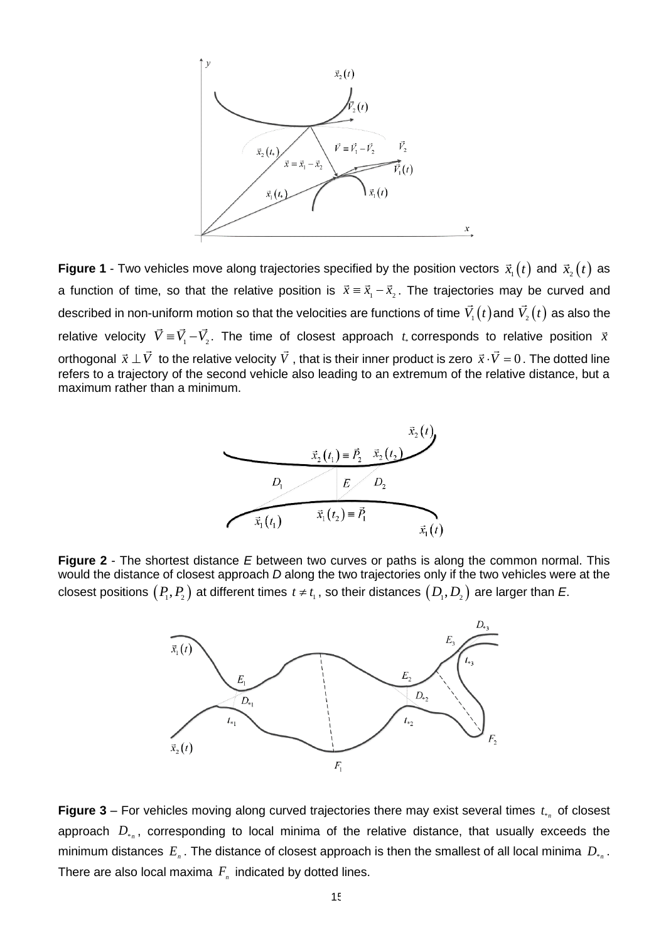

**Figure 1** - Two vehicles move along trajectories specified by the position vectors  $\vec{x}_{_1}(t)$  and  $\vec{x}_{_2}(t)$  as a function of time, so that the relative position is  $\vec{x} = \vec{x}_1 - \vec{x}_2$ . The trajectories may be curved and described in non-uniform motion so that the velocities are functions of time  $\mathit{V}_{_{1}}(t)$  and  $\mathit{V}_{_{2}}(t)$  as also the relative velocity  $\vec{V} \equiv \vec{V}_1 - \vec{V}_2$ . The time of closest approach  $t_*$  corresponds to relative position  $\vec{x}$ orthogonal  $\vec{x} \perp \vec{V}$  to the relative velocity  $\vec{V}$  , that is their inner product is zero  $\vec{x} \cdot \vec{V} = 0$  . The dotted line refers to a trajectory of the second vehicle also leading to an extremum of the relative distance, but a maximum rather than a minimum.



**Figure 2** - The shortest distance *E* between two curves or paths is along the common normal. This would the distance of closest approach *D* along the two trajectories only if the two vehicles were at the closest positions  $\left(P_1,P_2\right)$  at different times  $\,t\neq t_{_1},$  so their distances  $\left(D_1,D_2\right)$  are larger than  $E$ .



**Figure 3** – For vehicles moving along curved trajectories there may exist several times  $t_{*n}$  of closest approach  $D_{*_n}$ , corresponding to local minima of the relative distance, that usually exceeds the minimum distances  $E_{n}$  . The distance of closest approach is then the smallest of all local minima  $D_{*_{n}}$ . There are also local maxima  $F_{\scriptscriptstyle n}$  indicated by dotted lines.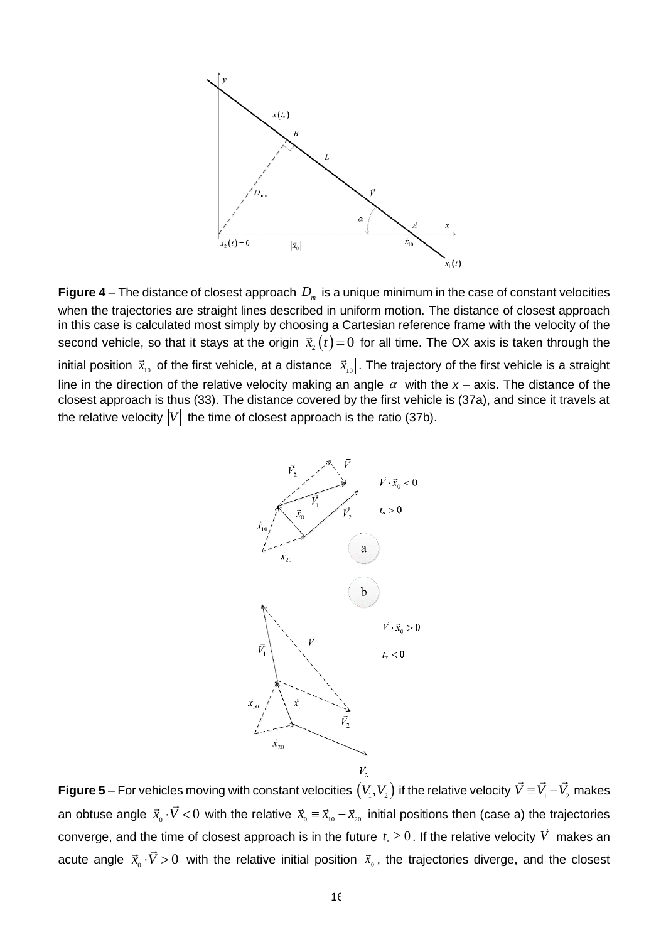

**Figure 4** – The distance of closest approach  $D_m$  is a unique minimum in the case of constant velocities when the trajectories are straight lines described in uniform motion. The distance of closest approach in this case is calculated most simply by choosing a Cartesian reference frame with the velocity of the second vehicle, so that it stays at the origin  $\vec{x}_{_2}(t) \! = \! 0$  for all time. The OX axis is taken through the initial position  $\vec{x}_{_{10}}$  of the first vehicle, at a distance  $|\vec{x}_{_{10}}|$ . The trajectory of the first vehicle is a straight line in the direction of the relative velocity making an angle  $\alpha$  with the x – axis. The distance of the closest approach is thus (33). The distance covered by the first vehicle is (37a), and since it travels at the relative velocity  $\left| V \right|$  the time of closest approach is the ratio (37b).



**Figure 5** – For vehicles moving with constant velocities  $\left(V_1,V_2\right)$  if the relative velocity  $\vec{V}\equiv\vec{V}_1-\vec{V}_2$  makes an obtuse angle  $\vec{x}_0\cdot\vec{V} < 0$  with the relative  $\vec{x}_0 = \vec{x}_{10} - \vec{x}_{20}$  initial positions then (case a) the trajectories converge, and the time of closest approach is in the future  $t_* \geq 0$  . If the relative velocity  $V$  makes an acute angle  $\vec{x}_0\cdot\vec{V} > 0$  with the relative initial position  $\vec{x}_0$ , the trajectories diverge, and the closest